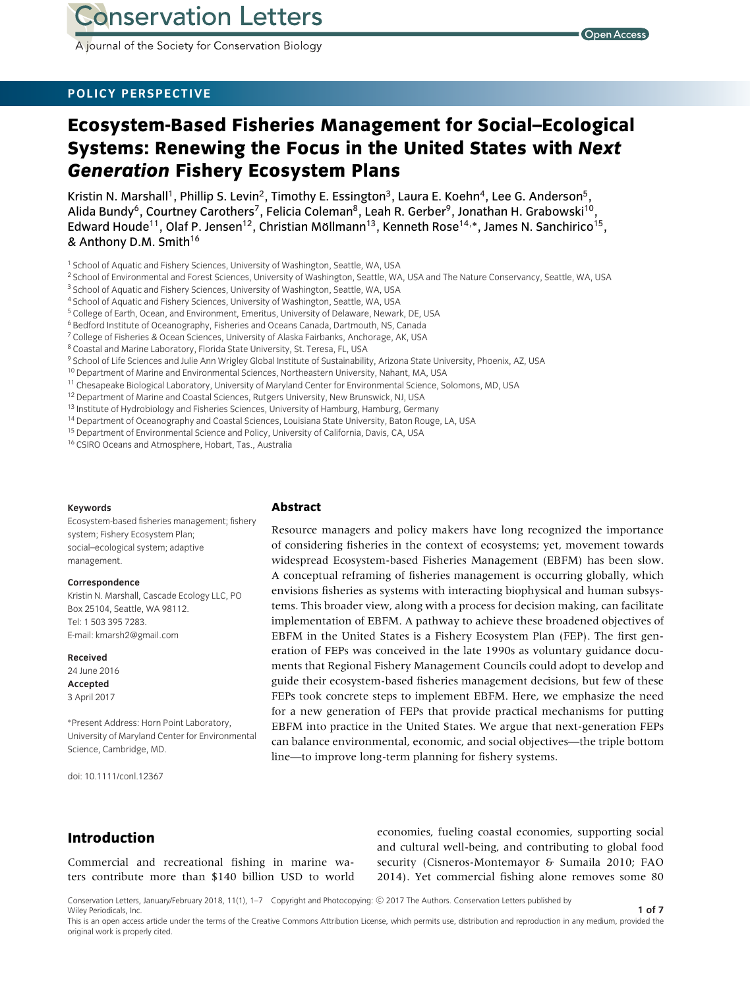A journal of the Society for Conservation Biology

# **POLICY PERSPECTIVE**

# **Ecosystem-Based Fisheries Management for Social–Ecological Systems: Renewing the Focus in the United States with** *Next Generation* **Fishery Ecosystem Plans**

Kristin N. Marshall<sup>1</sup>, Phillip S. Levin<sup>2</sup>, Timothy E. Essington<sup>3</sup>, Laura E. Koehn<sup>4</sup>, Lee G. Anderson<sup>5</sup>, Alida Bundy<sup>6</sup>, Courtney Carothers<sup>7</sup>, Felicia Coleman<sup>8</sup>, Leah R. Gerber<sup>9</sup>, Jonathan H. Grabowski<sup>10</sup> Edward Houde<sup>11</sup>, Olaf P. Jensen<sup>12</sup>, Christian Möllmann<sup>13</sup>, Kenneth Rose<sup>14,</sup>\*, James N. Sanchirico<sup>15</sup>, & Anthony D.M. Smith<sup>16</sup>

- <sup>1</sup> School of Aquatic and Fishery Sciences, University of Washington, Seattle, WA, USA
- <sup>2</sup> School of Environmental and Forest Sciences, University of Washington, Seattle, WA, USA and The Nature Conservancy, Seattle, WA, USA
- <sup>3</sup> School of Aquatic and Fishery Sciences, University of Washington, Seattle, WA, USA
- <sup>4</sup> School of Aquatic and Fishery Sciences, University of Washington, Seattle, WA, USA
- <sup>5</sup> College of Earth, Ocean, and Environment, Emeritus, University of Delaware, Newark, DE, USA
- <sup>6</sup> Bedford Institute of Oceanography, Fisheries and Oceans Canada, Dartmouth, NS, Canada
- <sup>7</sup> College of Fisheries & Ocean Sciences, University of Alaska Fairbanks, Anchorage, AK, USA
- <sup>8</sup> Coastal and Marine Laboratory, Florida State University, St. Teresa, FL, USA
- 9 School of Life Sciences and Julie Ann Wrigley Global Institute of Sustainability, Arizona State University, Phoenix, AZ, USA
- <sup>10</sup> Department of Marine and Environmental Sciences, Northeastern University, Nahant, MA, USA
- <sup>11</sup> Chesapeake Biological Laboratory, University of Maryland Center for Environmental Science, Solomons, MD, USA
- <sup>12</sup> Department of Marine and Coastal Sciences, Rutgers University, New Brunswick, NJ, USA
- $13$  Institute of Hydrobiology and Fisheries Sciences, University of Hamburg, Hamburg, Germany
- <sup>14</sup> Department of Oceanography and Coastal Sciences, Louisiana State University, Baton Rouge, LA, USA
- <sup>15</sup> Department of Environmental Science and Policy, University of California, Davis, CA, USA
- <sup>16</sup> CSIRO Oceans and Atmosphere, Hobart, Tas., Australia

#### **Keywords**

Ecosystem-based fisheries management; fishery system; Fishery Ecosystem Plan; social–ecological system; adaptive management.

#### **Correspondence**

Kristin N. Marshall, Cascade Ecology LLC, PO Box 25104, Seattle, WA 98112. Tel: 1 503 395 7283. E-mail: kmarsh2@gmail.com

#### **Received**

24 June 2016 **Accepted** 3 April 2017

∗Present Address: Horn Point Laboratory, University of Maryland Center for Environmental Science, Cambridge, MD.

doi: 10.1111/conl.12367

#### **Abstract**

Resource managers and policy makers have long recognized the importance of considering fisheries in the context of ecosystems; yet, movement towards widespread Ecosystem-based Fisheries Management (EBFM) has been slow. A conceptual reframing of fisheries management is occurring globally, which envisions fisheries as systems with interacting biophysical and human subsystems. This broader view, along with a process for decision making, can facilitate implementation of EBFM. A pathway to achieve these broadened objectives of EBFM in the United States is a Fishery Ecosystem Plan (FEP). The first generation of FEPs was conceived in the late 1990s as voluntary guidance documents that Regional Fishery Management Councils could adopt to develop and guide their ecosystem-based fisheries management decisions, but few of these FEPs took concrete steps to implement EBFM. Here, we emphasize the need for a new generation of FEPs that provide practical mechanisms for putting EBFM into practice in the United States. We argue that next-generation FEPs can balance environmental, economic, and social objectives—the triple bottom line—to improve long-term planning for fishery systems.

### **Introduction**

Commercial and recreational fishing in marine waters contribute more than \$140 billion USD to world economies, fueling coastal economies, supporting social and cultural well-being, and contributing to global food security (Cisneros-Montemayor & Sumaila 2010; FAO 2014). Yet commercial fishing alone removes some 80

Conservation Letters, January/February 2018, 11(1), 1–7 Copyright and Photocopying: <sup>C</sup> 2017 The Authors. Conservation Letters published by Wiley Periodicals, Inc. **1 of 7**

This is an open access article under the terms of the [Creative Commons Attribution](http://creativecommons.org/licenses/by/4.0/) License, which permits use, distribution and reproduction in any medium, provided the original work is properly cited.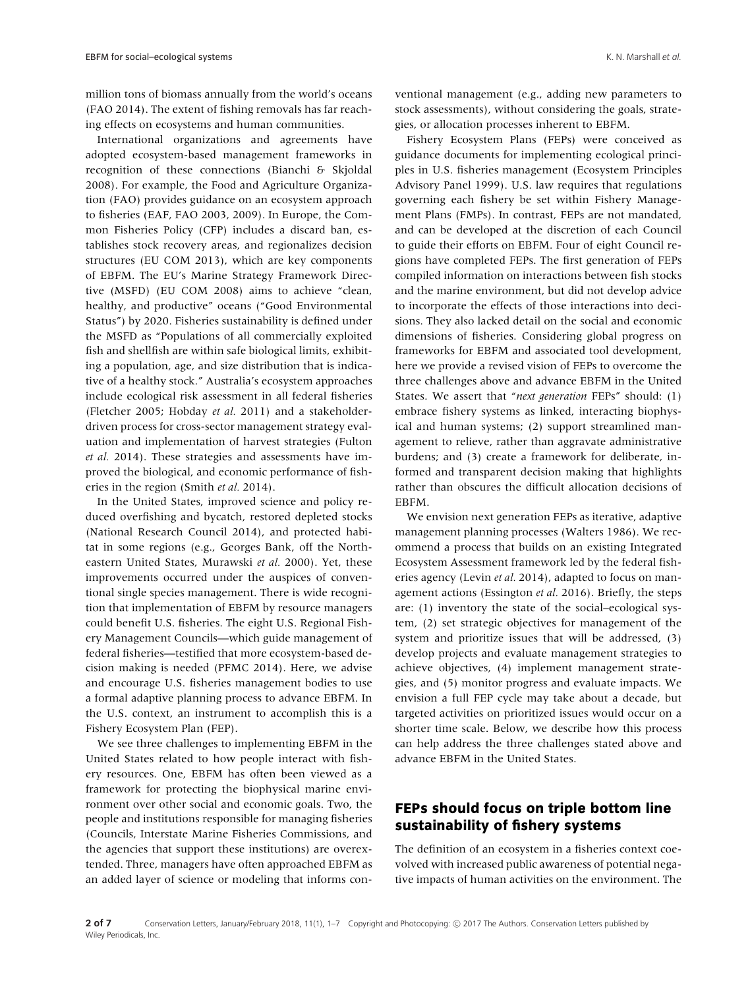million tons of biomass annually from the world's oceans (FAO 2014). The extent of fishing removals has far reaching effects on ecosystems and human communities.

International organizations and agreements have adopted ecosystem-based management frameworks in recognition of these connections (Bianchi & Skjoldal 2008). For example, the Food and Agriculture Organization (FAO) provides guidance on an ecosystem approach to fisheries (EAF, FAO 2003, 2009). In Europe, the Common Fisheries Policy (CFP) includes a discard ban, establishes stock recovery areas, and regionalizes decision structures (EU COM 2013), which are key components of EBFM. The EU's Marine Strategy Framework Directive (MSFD) (EU COM 2008) aims to achieve "clean, healthy, and productive" oceans ("Good Environmental Status") by 2020. Fisheries sustainability is defined under the MSFD as "Populations of all commercially exploited fish and shellfish are within safe biological limits, exhibiting a population, age, and size distribution that is indicative of a healthy stock." Australia's ecosystem approaches include ecological risk assessment in all federal fisheries (Fletcher 2005; Hobday *et al.* 2011) and a stakeholderdriven process for cross-sector management strategy evaluation and implementation of harvest strategies (Fulton *et al.* 2014). These strategies and assessments have improved the biological, and economic performance of fisheries in the region (Smith *et al.* 2014).

In the United States, improved science and policy reduced overfishing and bycatch, restored depleted stocks (National Research Council 2014), and protected habitat in some regions (e.g., Georges Bank, off the Northeastern United States, Murawski *et al.* 2000). Yet, these improvements occurred under the auspices of conventional single species management. There is wide recognition that implementation of EBFM by resource managers could benefit U.S. fisheries. The eight U.S. Regional Fishery Management Councils—which guide management of federal fisheries—testified that more ecosystem-based decision making is needed (PFMC 2014). Here, we advise and encourage U.S. fisheries management bodies to use a formal adaptive planning process to advance EBFM. In the U.S. context, an instrument to accomplish this is a Fishery Ecosystem Plan (FEP).

We see three challenges to implementing EBFM in the United States related to how people interact with fishery resources. One, EBFM has often been viewed as a framework for protecting the biophysical marine environment over other social and economic goals. Two, the people and institutions responsible for managing fisheries (Councils, Interstate Marine Fisheries Commissions, and the agencies that support these institutions) are overextended. Three, managers have often approached EBFM as an added layer of science or modeling that informs conventional management (e.g., adding new parameters to stock assessments), without considering the goals, strategies, or allocation processes inherent to EBFM.

Fishery Ecosystem Plans (FEPs) were conceived as guidance documents for implementing ecological principles in U.S. fisheries management (Ecosystem Principles Advisory Panel 1999). U.S. law requires that regulations governing each fishery be set within Fishery Management Plans (FMPs). In contrast, FEPs are not mandated, and can be developed at the discretion of each Council to guide their efforts on EBFM. Four of eight Council regions have completed FEPs. The first generation of FEPs compiled information on interactions between fish stocks and the marine environment, but did not develop advice to incorporate the effects of those interactions into decisions. They also lacked detail on the social and economic dimensions of fisheries. Considering global progress on frameworks for EBFM and associated tool development, here we provide a revised vision of FEPs to overcome the three challenges above and advance EBFM in the United States. We assert that "*next generation* FEPs" should: (1) embrace fishery systems as linked, interacting biophysical and human systems; (2) support streamlined management to relieve, rather than aggravate administrative burdens; and (3) create a framework for deliberate, informed and transparent decision making that highlights rather than obscures the difficult allocation decisions of EBFM.

We envision next generation FEPs as iterative, adaptive management planning processes (Walters 1986). We recommend a process that builds on an existing Integrated Ecosystem Assessment framework led by the federal fisheries agency (Levin *et al.* 2014), adapted to focus on management actions (Essington *et al.* 2016). Briefly, the steps are: (1) inventory the state of the social–ecological system, (2) set strategic objectives for management of the system and prioritize issues that will be addressed, (3) develop projects and evaluate management strategies to achieve objectives, (4) implement management strategies, and (5) monitor progress and evaluate impacts. We envision a full FEP cycle may take about a decade, but targeted activities on prioritized issues would occur on a shorter time scale. Below, we describe how this process can help address the three challenges stated above and advance EBFM in the United States.

# **FEPs should focus on triple bottom line sustainability of fishery systems**

The definition of an ecosystem in a fisheries context coevolved with increased public awareness of potential negative impacts of human activities on the environment. The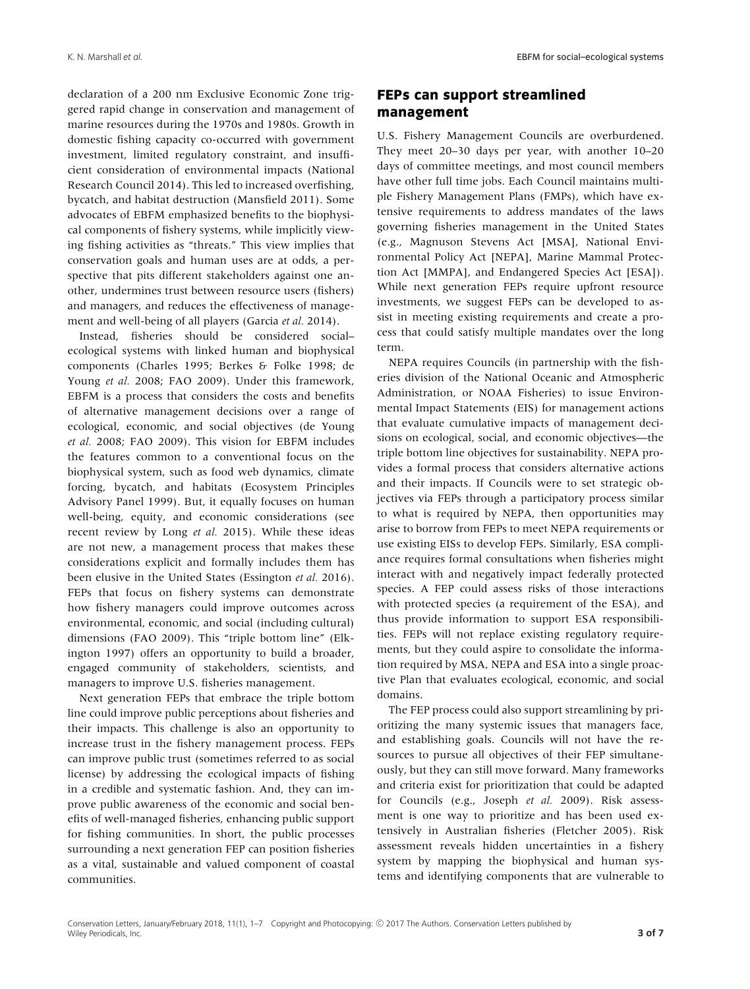declaration of a 200 nm Exclusive Economic Zone triggered rapid change in conservation and management of marine resources during the 1970s and 1980s. Growth in domestic fishing capacity co-occurred with government investment, limited regulatory constraint, and insufficient consideration of environmental impacts (National Research Council 2014). This led to increased overfishing, bycatch, and habitat destruction (Mansfield 2011). Some advocates of EBFM emphasized benefits to the biophysical components of fishery systems, while implicitly viewing fishing activities as "threats." This view implies that conservation goals and human uses are at odds, a perspective that pits different stakeholders against one another, undermines trust between resource users (fishers) and managers, and reduces the effectiveness of management and well-being of all players (Garcia *et al.* 2014).

Instead, fisheries should be considered social– ecological systems with linked human and biophysical components (Charles 1995; Berkes & Folke 1998; de Young *et al.* 2008; FAO 2009). Under this framework, EBFM is a process that considers the costs and benefits of alternative management decisions over a range of ecological, economic, and social objectives (de Young *et al.* 2008; FAO 2009). This vision for EBFM includes the features common to a conventional focus on the biophysical system, such as food web dynamics, climate forcing, bycatch, and habitats (Ecosystem Principles Advisory Panel 1999). But, it equally focuses on human well-being, equity, and economic considerations (see recent review by Long *et al.* 2015). While these ideas are not new, a management process that makes these considerations explicit and formally includes them has been elusive in the United States (Essington *et al.* 2016). FEPs that focus on fishery systems can demonstrate how fishery managers could improve outcomes across environmental, economic, and social (including cultural) dimensions (FAO 2009). This "triple bottom line" (Elkington 1997) offers an opportunity to build a broader, engaged community of stakeholders, scientists, and managers to improve U.S. fisheries management.

Next generation FEPs that embrace the triple bottom line could improve public perceptions about fisheries and their impacts. This challenge is also an opportunity to increase trust in the fishery management process. FEPs can improve public trust (sometimes referred to as social license) by addressing the ecological impacts of fishing in a credible and systematic fashion. And, they can improve public awareness of the economic and social benefits of well-managed fisheries, enhancing public support for fishing communities. In short, the public processes surrounding a next generation FEP can position fisheries as a vital, sustainable and valued component of coastal communities.

# **FEPs can support streamlined management**

U.S. Fishery Management Councils are overburdened. They meet 20–30 days per year, with another 10–20 days of committee meetings, and most council members have other full time jobs. Each Council maintains multiple Fishery Management Plans (FMPs), which have extensive requirements to address mandates of the laws governing fisheries management in the United States (e.g., Magnuson Stevens Act [MSA], National Environmental Policy Act [NEPA], Marine Mammal Protection Act [MMPA], and Endangered Species Act [ESA]). While next generation FEPs require upfront resource investments, we suggest FEPs can be developed to assist in meeting existing requirements and create a process that could satisfy multiple mandates over the long term.

NEPA requires Councils (in partnership with the fisheries division of the National Oceanic and Atmospheric Administration, or NOAA Fisheries) to issue Environmental Impact Statements (EIS) for management actions that evaluate cumulative impacts of management decisions on ecological, social, and economic objectives—the triple bottom line objectives for sustainability. NEPA provides a formal process that considers alternative actions and their impacts. If Councils were to set strategic objectives via FEPs through a participatory process similar to what is required by NEPA, then opportunities may arise to borrow from FEPs to meet NEPA requirements or use existing EISs to develop FEPs. Similarly, ESA compliance requires formal consultations when fisheries might interact with and negatively impact federally protected species. A FEP could assess risks of those interactions with protected species (a requirement of the ESA), and thus provide information to support ESA responsibilities. FEPs will not replace existing regulatory requirements, but they could aspire to consolidate the information required by MSA, NEPA and ESA into a single proactive Plan that evaluates ecological, economic, and social domains.

The FEP process could also support streamlining by prioritizing the many systemic issues that managers face, and establishing goals. Councils will not have the resources to pursue all objectives of their FEP simultaneously, but they can still move forward. Many frameworks and criteria exist for prioritization that could be adapted for Councils (e.g., Joseph *et al.* 2009). Risk assessment is one way to prioritize and has been used extensively in Australian fisheries (Fletcher 2005). Risk assessment reveals hidden uncertainties in a fishery system by mapping the biophysical and human systems and identifying components that are vulnerable to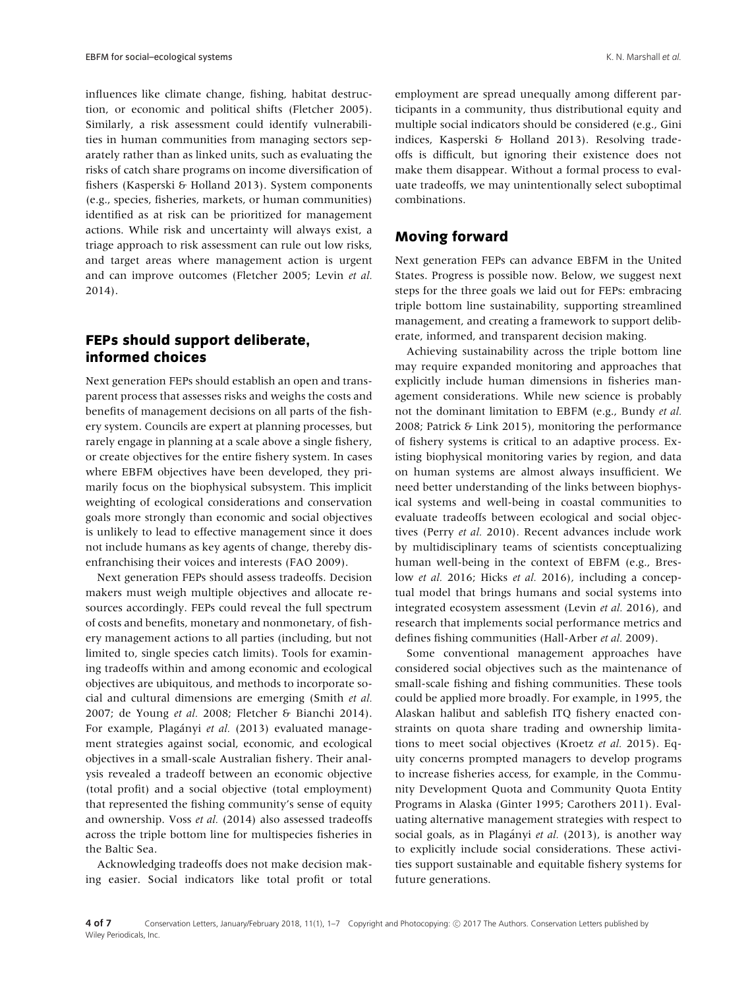influences like climate change, fishing, habitat destruction, or economic and political shifts (Fletcher 2005). Similarly, a risk assessment could identify vulnerabilities in human communities from managing sectors separately rather than as linked units, such as evaluating the risks of catch share programs on income diversification of fishers (Kasperski & Holland 2013). System components (e.g., species, fisheries, markets, or human communities) identified as at risk can be prioritized for management actions. While risk and uncertainty will always exist, a triage approach to risk assessment can rule out low risks, and target areas where management action is urgent and can improve outcomes (Fletcher 2005; Levin *et al.* 2014).

# **FEPs should support deliberate, informed choices**

Next generation FEPs should establish an open and transparent process that assesses risks and weighs the costs and benefits of management decisions on all parts of the fishery system. Councils are expert at planning processes, but rarely engage in planning at a scale above a single fishery, or create objectives for the entire fishery system. In cases where EBFM objectives have been developed, they primarily focus on the biophysical subsystem. This implicit weighting of ecological considerations and conservation goals more strongly than economic and social objectives is unlikely to lead to effective management since it does not include humans as key agents of change, thereby disenfranchising their voices and interests (FAO 2009).

Next generation FEPs should assess tradeoffs. Decision makers must weigh multiple objectives and allocate resources accordingly. FEPs could reveal the full spectrum of costs and benefits, monetary and nonmonetary, of fishery management actions to all parties (including, but not limited to, single species catch limits). Tools for examining tradeoffs within and among economic and ecological objectives are ubiquitous, and methods to incorporate social and cultural dimensions are emerging (Smith *et al.* 2007; de Young *et al.* 2008; Fletcher & Bianchi 2014). For example, Plagányi et al. (2013) evaluated management strategies against social, economic, and ecological objectives in a small-scale Australian fishery. Their analysis revealed a tradeoff between an economic objective (total profit) and a social objective (total employment) that represented the fishing community's sense of equity and ownership. Voss *et al.* (2014) also assessed tradeoffs across the triple bottom line for multispecies fisheries in the Baltic Sea.

Acknowledging tradeoffs does not make decision making easier. Social indicators like total profit or total employment are spread unequally among different participants in a community, thus distributional equity and multiple social indicators should be considered (e.g., Gini indices, Kasperski & Holland 2013). Resolving tradeoffs is difficult, but ignoring their existence does not make them disappear. Without a formal process to evaluate tradeoffs, we may unintentionally select suboptimal combinations.

### **Moving forward**

Next generation FEPs can advance EBFM in the United States. Progress is possible now. Below, we suggest next steps for the three goals we laid out for FEPs: embracing triple bottom line sustainability, supporting streamlined management, and creating a framework to support deliberate, informed, and transparent decision making.

Achieving sustainability across the triple bottom line may require expanded monitoring and approaches that explicitly include human dimensions in fisheries management considerations. While new science is probably not the dominant limitation to EBFM (e.g., Bundy *et al.* 2008; Patrick & Link 2015), monitoring the performance of fishery systems is critical to an adaptive process. Existing biophysical monitoring varies by region, and data on human systems are almost always insufficient. We need better understanding of the links between biophysical systems and well-being in coastal communities to evaluate tradeoffs between ecological and social objectives (Perry *et al.* 2010). Recent advances include work by multidisciplinary teams of scientists conceptualizing human well-being in the context of EBFM (e.g., Breslow *et al.* 2016; Hicks *et al.* 2016), including a conceptual model that brings humans and social systems into integrated ecosystem assessment (Levin *et al.* 2016), and research that implements social performance metrics and defines fishing communities (Hall-Arber *et al.* 2009).

Some conventional management approaches have considered social objectives such as the maintenance of small-scale fishing and fishing communities. These tools could be applied more broadly. For example, in 1995, the Alaskan halibut and sablefish ITQ fishery enacted constraints on quota share trading and ownership limitations to meet social objectives (Kroetz *et al.* 2015). Equity concerns prompted managers to develop programs to increase fisheries access, for example, in the Community Development Quota and Community Quota Entity Programs in Alaska (Ginter 1995; Carothers 2011). Evaluating alternative management strategies with respect to social goals, as in Plagányi et al. (2013), is another way to explicitly include social considerations. These activities support sustainable and equitable fishery systems for future generations.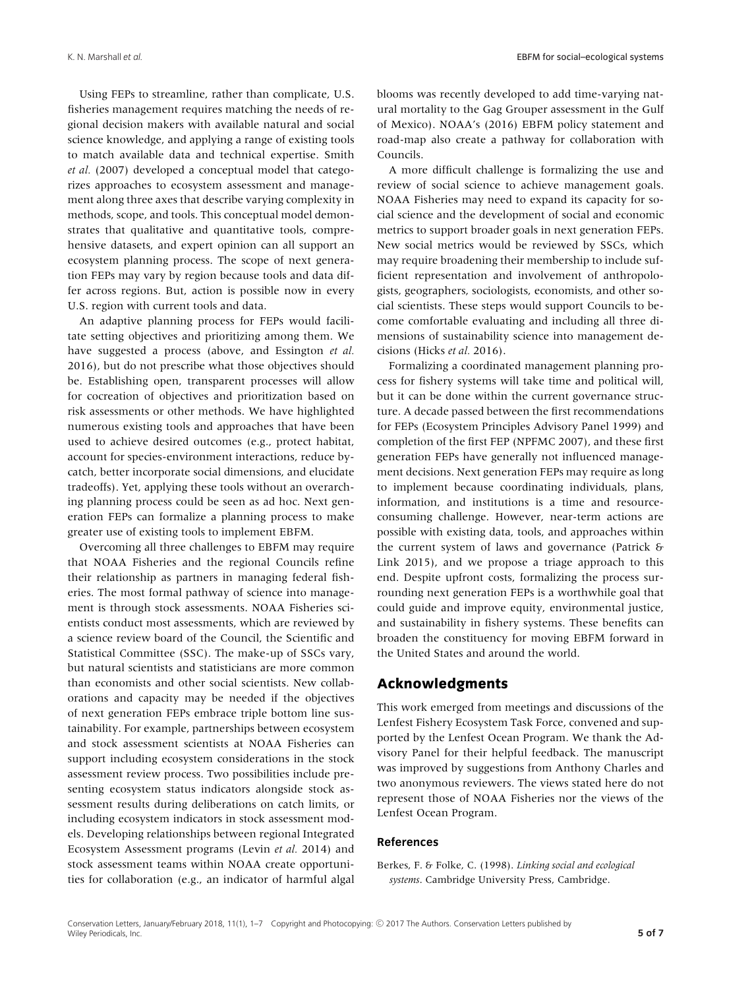Using FEPs to streamline, rather than complicate, U.S. fisheries management requires matching the needs of regional decision makers with available natural and social science knowledge, and applying a range of existing tools to match available data and technical expertise. Smith *et al.* (2007) developed a conceptual model that categorizes approaches to ecosystem assessment and management along three axes that describe varying complexity in methods, scope, and tools. This conceptual model demonstrates that qualitative and quantitative tools, comprehensive datasets, and expert opinion can all support an ecosystem planning process. The scope of next generation FEPs may vary by region because tools and data differ across regions. But, action is possible now in every U.S. region with current tools and data.

An adaptive planning process for FEPs would facilitate setting objectives and prioritizing among them. We have suggested a process (above, and Essington *et al.* 2016), but do not prescribe what those objectives should be. Establishing open, transparent processes will allow for cocreation of objectives and prioritization based on risk assessments or other methods. We have highlighted numerous existing tools and approaches that have been used to achieve desired outcomes (e.g., protect habitat, account for species-environment interactions, reduce bycatch, better incorporate social dimensions, and elucidate tradeoffs). Yet, applying these tools without an overarching planning process could be seen as ad hoc. Next generation FEPs can formalize a planning process to make greater use of existing tools to implement EBFM.

Overcoming all three challenges to EBFM may require that NOAA Fisheries and the regional Councils refine their relationship as partners in managing federal fisheries. The most formal pathway of science into management is through stock assessments. NOAA Fisheries scientists conduct most assessments, which are reviewed by a science review board of the Council, the Scientific and Statistical Committee (SSC). The make-up of SSCs vary, but natural scientists and statisticians are more common than economists and other social scientists. New collaborations and capacity may be needed if the objectives of next generation FEPs embrace triple bottom line sustainability. For example, partnerships between ecosystem and stock assessment scientists at NOAA Fisheries can support including ecosystem considerations in the stock assessment review process. Two possibilities include presenting ecosystem status indicators alongside stock assessment results during deliberations on catch limits, or including ecosystem indicators in stock assessment models. Developing relationships between regional Integrated Ecosystem Assessment programs (Levin *et al.* 2014) and stock assessment teams within NOAA create opportunities for collaboration (e.g., an indicator of harmful algal blooms was recently developed to add time-varying natural mortality to the Gag Grouper assessment in the Gulf of Mexico). NOAA's (2016) EBFM policy statement and road-map also create a pathway for collaboration with Councils.

A more difficult challenge is formalizing the use and review of social science to achieve management goals. NOAA Fisheries may need to expand its capacity for social science and the development of social and economic metrics to support broader goals in next generation FEPs. New social metrics would be reviewed by SSCs, which may require broadening their membership to include sufficient representation and involvement of anthropologists, geographers, sociologists, economists, and other social scientists. These steps would support Councils to become comfortable evaluating and including all three dimensions of sustainability science into management decisions (Hicks *et al.* 2016).

Formalizing a coordinated management planning process for fishery systems will take time and political will, but it can be done within the current governance structure. A decade passed between the first recommendations for FEPs (Ecosystem Principles Advisory Panel 1999) and completion of the first FEP (NPFMC 2007), and these first generation FEPs have generally not influenced management decisions. Next generation FEPs may require as long to implement because coordinating individuals, plans, information, and institutions is a time and resourceconsuming challenge. However, near-term actions are possible with existing data, tools, and approaches within the current system of laws and governance (Patrick & Link 2015), and we propose a triage approach to this end. Despite upfront costs, formalizing the process surrounding next generation FEPs is a worthwhile goal that could guide and improve equity, environmental justice, and sustainability in fishery systems. These benefits can broaden the constituency for moving EBFM forward in the United States and around the world.

### **Acknowledgments**

This work emerged from meetings and discussions of the Lenfest Fishery Ecosystem Task Force, convened and supported by the Lenfest Ocean Program. We thank the Advisory Panel for their helpful feedback. The manuscript was improved by suggestions from Anthony Charles and two anonymous reviewers. The views stated here do not represent those of NOAA Fisheries nor the views of the Lenfest Ocean Program.

### **References**

Berkes, F. & Folke, C. (1998). *Linking social and ecological systems*. Cambridge University Press, Cambridge.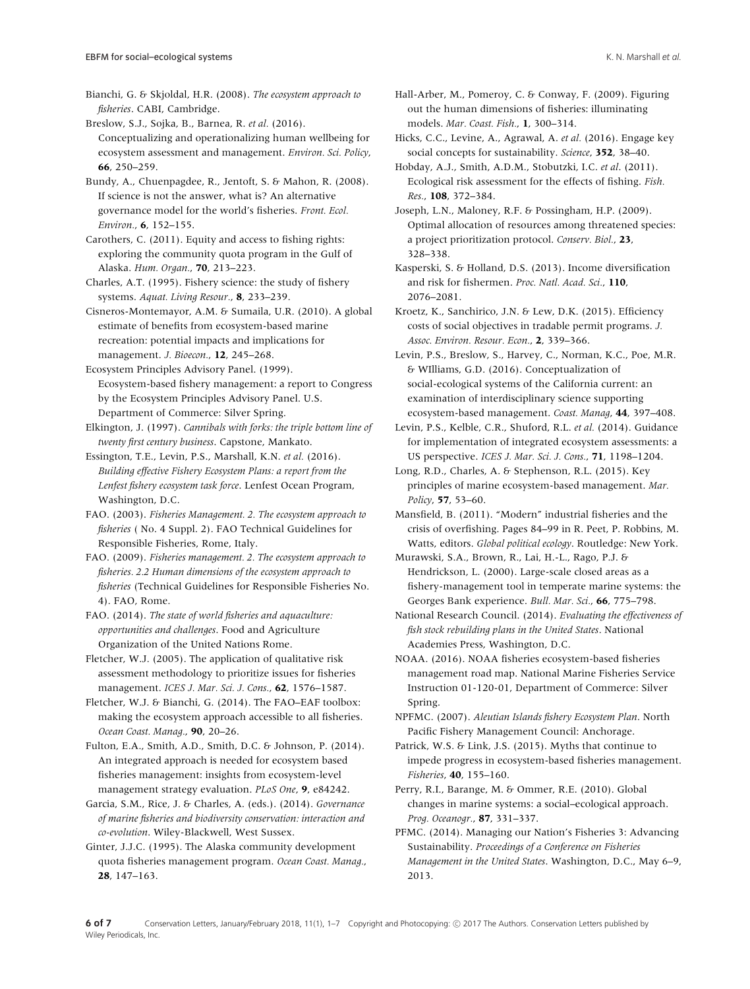Bianchi, G. & Skjoldal, H.R. (2008). *The ecosystem approach to fisheries*. CABI, Cambridge.

Breslow, S.J., Sojka, B., Barnea, R. *et al.* (2016). Conceptualizing and operationalizing human wellbeing for ecosystem assessment and management. *Environ. Sci. Policy*, **66**, 250–259.

Bundy, A., Chuenpagdee, R., Jentoft, S. & Mahon, R. (2008). If science is not the answer, what is? An alternative governance model for the world's fisheries. *Front. Ecol. Environ.*, **6**, 152–155.

Carothers, C. (2011). Equity and access to fishing rights: exploring the community quota program in the Gulf of Alaska. *Hum. Organ.*, **70**, 213–223.

Charles, A.T. (1995). Fishery science: the study of fishery systems. *Aquat. Living Resour.*, **8**, 233–239.

Cisneros-Montemayor, A.M. & Sumaila, U.R. (2010). A global estimate of benefits from ecosystem-based marine recreation: potential impacts and implications for management. *J. Bioecon.*, **12**, 245–268.

Ecosystem Principles Advisory Panel. (1999). Ecosystem-based fishery management: a report to Congress by the Ecosystem Principles Advisory Panel. U.S. Department of Commerce: Silver Spring.

Elkington, J. (1997). *Cannibals with forks: the triple bottom line of twenty first century business*. Capstone, Mankato.

Essington, T.E., Levin, P.S., Marshall, K.N. *et al.* (2016). *Building effective Fishery Ecosystem Plans: a report from the Lenfest fishery ecosystem task force*. Lenfest Ocean Program, Washington, D.C.

FAO. (2003). *Fisheries Management. 2. The ecosystem approach to fisheries* ( No. 4 Suppl. 2). FAO Technical Guidelines for Responsible Fisheries, Rome, Italy.

FAO. (2009). *Fisheries management. 2. The ecosystem approach to fisheries. 2.2 Human dimensions of the ecosystem approach to fisheries* (Technical Guidelines for Responsible Fisheries No. 4). FAO, Rome.

FAO. (2014). *The state of world fisheries and aquaculture: opportunities and challenges*. Food and Agriculture Organization of the United Nations Rome.

Fletcher, W.J. (2005). The application of qualitative risk assessment methodology to prioritize issues for fisheries management. *ICES J. Mar. Sci. J. Cons.*, **62**, 1576–1587.

Fletcher, W.J. & Bianchi, G. (2014). The FAO–EAF toolbox: making the ecosystem approach accessible to all fisheries. *Ocean Coast. Manag.*, **90**, 20–26.

Fulton, E.A., Smith, A.D., Smith, D.C. & Johnson, P. (2014). An integrated approach is needed for ecosystem based fisheries management: insights from ecosystem-level management strategy evaluation. *PLoS One*, **9**, e84242.

Garcia, S.M., Rice, J. & Charles, A. (eds.). (2014). *Governance of marine fisheries and biodiversity conservation: interaction and co-evolution*. Wiley-Blackwell, West Sussex.

Ginter, J.J.C. (1995). The Alaska community development quota fisheries management program. *Ocean Coast. Manag.*, **28**, 147–163.

Hall-Arber, M., Pomeroy, C. & Conway, F. (2009). Figuring out the human dimensions of fisheries: illuminating models. *Mar. Coast. Fish.*, **1**, 300–314.

Hicks, C.C., Levine, A., Agrawal, A. *et al.* (2016). Engage key social concepts for sustainability. *Science*, **352**, 38–40.

Hobday, A.J., Smith, A.D.M., Stobutzki, I.C. *et al*. (2011). Ecological risk assessment for the effects of fishing. *Fish. Res.*, **108**, 372–384.

Joseph, L.N., Maloney, R.F. & Possingham, H.P. (2009). Optimal allocation of resources among threatened species: a project prioritization protocol. *Conserv. Biol.*, **23**, 328–338.

Kasperski, S. & Holland, D.S. (2013). Income diversification and risk for fishermen. *Proc. Natl. Acad. Sci.*, **110**, 2076–2081.

Kroetz, K., Sanchirico, J.N. & Lew, D.K. (2015). Efficiency costs of social objectives in tradable permit programs. *J. Assoc. Environ. Resour. Econ.*, **2**, 339–366.

Levin, P.S., Breslow, S., Harvey, C., Norman, K.C., Poe, M.R. & WIlliams, G.D. (2016). Conceptualization of social-ecological systems of the California current: an examination of interdisciplinary science supporting ecosystem-based management. *Coast. Manag*, **44**, 397–408.

Levin, P.S., Kelble, C.R., Shuford, R.L. *et al.* (2014). Guidance for implementation of integrated ecosystem assessments: a US perspective. *ICES J. Mar. Sci. J. Cons.*, **71**, 1198–1204.

Long, R.D., Charles, A. & Stephenson, R.L. (2015). Key principles of marine ecosystem-based management. *Mar. Policy*, **57**, 53–60.

Mansfield, B. (2011). "Modern" industrial fisheries and the crisis of overfishing. Pages 84–99 in R. Peet, P. Robbins, M. Watts, editors. *Global political ecology*. Routledge: New York.

Murawski, S.A., Brown, R., Lai, H.-L., Rago, P.J. & Hendrickson, L. (2000). Large-scale closed areas as a fishery-management tool in temperate marine systems: the Georges Bank experience. *Bull. Mar. Sci.*, **66**, 775–798.

National Research Council. (2014). *Evaluating the effectiveness of fish stock rebuilding plans in the United States*. National Academies Press, Washington, D.C.

NOAA. (2016). NOAA fisheries ecosystem-based fisheries management road map. National Marine Fisheries Service Instruction 01-120-01, Department of Commerce: Silver Spring.

NPFMC. (2007). *Aleutian Islands fishery Ecosystem Plan*. North Pacific Fishery Management Council: Anchorage.

Patrick, W.S. & Link, J.S. (2015). Myths that continue to impede progress in ecosystem-based fisheries management. *Fisheries*, **40**, 155–160.

Perry, R.I., Barange, M. & Ommer, R.E. (2010). Global changes in marine systems: a social–ecological approach. *Prog. Oceanogr.*, **87**, 331–337.

PFMC. (2014). Managing our Nation's Fisheries 3: Advancing Sustainability. *Proceedings of a Conference on Fisheries Management in the United States*. Washington, D.C., May 6–9, 2013.